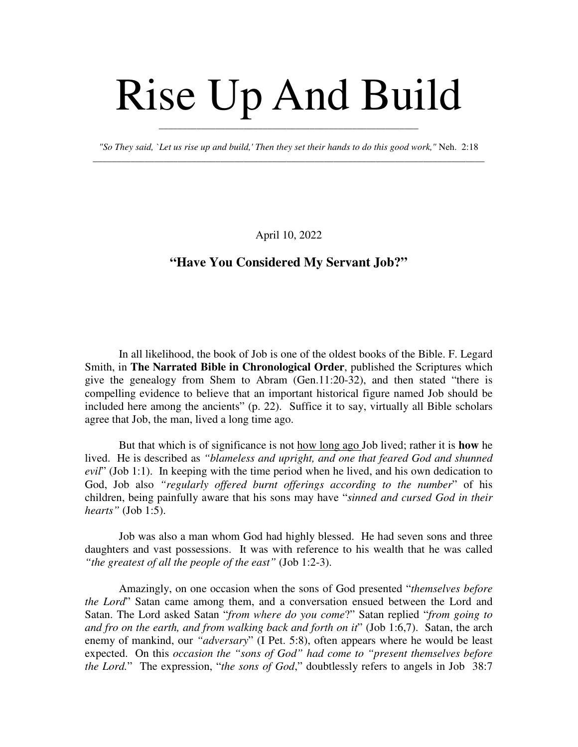## Rise Up And Build

*"So They said, `Let us rise up and build,' Then they set their hands to do this good work,"* Neh. 2:18 \_\_\_\_\_\_\_\_\_\_\_\_\_\_\_\_\_\_\_\_\_\_\_\_\_\_\_\_\_\_\_\_\_\_\_\_\_\_\_\_\_\_\_\_\_\_\_\_\_\_\_\_\_\_\_\_\_\_\_\_\_\_\_\_\_\_\_\_\_\_\_\_\_\_\_\_\_\_\_\_\_\_\_

\_\_\_\_\_\_\_\_\_\_\_\_\_\_\_\_\_\_\_\_\_\_\_\_\_\_\_\_\_\_\_\_\_\_\_\_\_\_\_\_\_\_\_\_\_\_\_\_\_\_\_\_\_\_\_

April 10, 2022

## **"Have You Considered My Servant Job?"**

In all likelihood, the book of Job is one of the oldest books of the Bible. F. Legard Smith, in **The Narrated Bible in Chronological Order**, published the Scriptures which give the genealogy from Shem to Abram (Gen.11:20-32), and then stated "there is compelling evidence to believe that an important historical figure named Job should be included here among the ancients" (p. 22). Suffice it to say, virtually all Bible scholars agree that Job, the man, lived a long time ago.

But that which is of significance is not how long ago Job lived; rather it is **how** he lived. He is described as *"blameless and upright, and one that feared God and shunned evil*" (Job 1:1). In keeping with the time period when he lived, and his own dedication to God, Job also *"regularly offered burnt offerings according to the number*" of his children, being painfully aware that his sons may have "*sinned and cursed God in their hearts"* (Job 1:5).

Job was also a man whom God had highly blessed. He had seven sons and three daughters and vast possessions. It was with reference to his wealth that he was called *"the greatest of all the people of the east"* (Job 1:2-3).

Amazingly, on one occasion when the sons of God presented "*themselves before the Lord*" Satan came among them, and a conversation ensued between the Lord and Satan. The Lord asked Satan "*from where do you come*?" Satan replied "*from going to and fro on the earth, and from walking back and forth on it*" (Job 1:6,7). Satan, the arch enemy of mankind, our *"adversary*" (I Pet. 5:8), often appears where he would be least expected. On this *occasion the "sons of God" had come to "present themselves before the Lord.*" The expression, "*the sons of God*," doubtlessly refers to angels in Job 38:7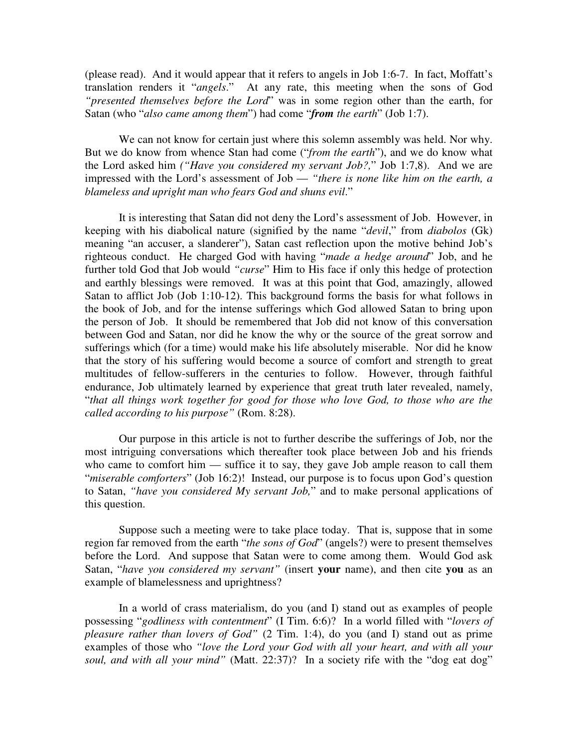(please read). And it would appear that it refers to angels in Job 1:6-7. In fact, Moffatt's translation renders it "*angels*." At any rate, this meeting when the sons of God *"presented themselves before the Lord*" was in some region other than the earth, for Satan (who "*also came among them*") had come "*from the earth*" (Job 1:7).

We can not know for certain just where this solemn assembly was held. Nor why. But we do know from whence Stan had come ("*from the earth*"), and we do know what the Lord asked him *("Have you considered my servant Job?,*" Job 1:7,8). And we are impressed with the Lord's assessment of Job — *"there is none like him on the earth, a blameless and upright man who fears God and shuns evil*."

It is interesting that Satan did not deny the Lord's assessment of Job. However, in keeping with his diabolical nature (signified by the name "*devil*," from *diabolos* (Gk) meaning "an accuser, a slanderer"), Satan cast reflection upon the motive behind Job's righteous conduct. He charged God with having "*made a hedge around*" Job, and he further told God that Job would *"curse*" Him to His face if only this hedge of protection and earthly blessings were removed. It was at this point that God, amazingly, allowed Satan to afflict Job (Job 1:10-12). This background forms the basis for what follows in the book of Job, and for the intense sufferings which God allowed Satan to bring upon the person of Job. It should be remembered that Job did not know of this conversation between God and Satan, nor did he know the why or the source of the great sorrow and sufferings which (for a time) would make his life absolutely miserable. Nor did he know that the story of his suffering would become a source of comfort and strength to great multitudes of fellow-sufferers in the centuries to follow. However, through faithful endurance, Job ultimately learned by experience that great truth later revealed, namely, "*that all things work together for good for those who love God, to those who are the called according to his purpose"* (Rom. 8:28).

Our purpose in this article is not to further describe the sufferings of Job, nor the most intriguing conversations which thereafter took place between Job and his friends who came to comfort him — suffice it to say, they gave Job ample reason to call them "*miserable comforters*" (Job 16:2)! Instead, our purpose is to focus upon God's question to Satan, *"have you considered My servant Job,*" and to make personal applications of this question.

Suppose such a meeting were to take place today. That is, suppose that in some region far removed from the earth "*the sons of God*" (angels?) were to present themselves before the Lord. And suppose that Satan were to come among them. Would God ask Satan, "*have you considered my servant"* (insert **your** name), and then cite **you** as an example of blamelessness and uprightness?

In a world of crass materialism, do you (and I) stand out as examples of people possessing "*godliness with contentment*" (I Tim. 6:6)? In a world filled with "*lovers of pleasure rather than lovers of God"* (2 Tim. 1:4), do you (and I) stand out as prime examples of those who *"love the Lord your God with all your heart, and with all your soul, and with all your mind"* (Matt. 22:37)? In a society rife with the "dog eat dog"